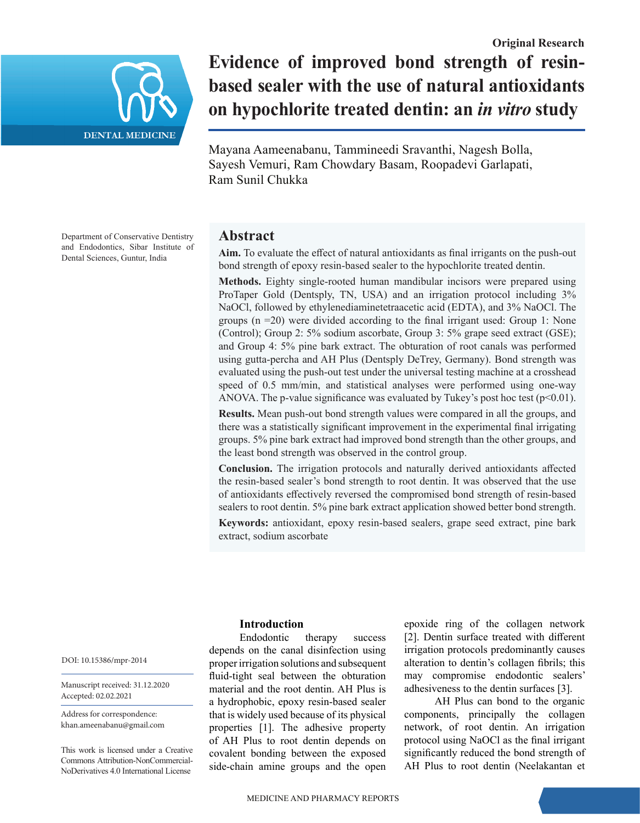

**Evidence of improved bond strength of resinbased sealer with the use of natural antioxidants on hypochlorite treated dentin: an** *in vitro* **study**

Mayana Aameenabanu, Tammineedi Sravanthi, Nagesh Bolla, Sayesh Vemuri, Ram Chowdary Basam, Roopadevi Garlapati, Ram Sunil Chukka

Department of Conservative Dentistry and Endodontics, Sibar Institute of Dental Sciences, Guntur, India

# **Abstract**

**Aim.** To evaluate the effect of natural antioxidants as final irrigants on the push-out bond strength of epoxy resin-based sealer to the hypochlorite treated dentin.

**Methods.** Eighty single-rooted human mandibular incisors were prepared using ProTaper Gold (Dentsply, TN, USA) and an irrigation protocol including 3% NaOCl, followed by ethylenediaminetetraacetic acid (EDTA), and 3% NaOCl. The groups (n =20) were divided according to the final irrigant used: Group 1: None (Control); Group 2: 5% sodium ascorbate, Group 3: 5% grape seed extract (GSE); and Group 4: 5% pine bark extract. The obturation of root canals was performed using gutta-percha and AH Plus (Dentsply DeTrey, Germany). Bond strength was evaluated using the push-out test under the universal testing machine at a crosshead speed of 0.5 mm/min, and statistical analyses were performed using one-way ANOVA. The p-value significance was evaluated by Tukey's post hoc test  $(p<0.01)$ .

**Results.** Mean push-out bond strength values were compared in all the groups, and there was a statistically significant improvement in the experimental final irrigating groups. 5% pine bark extract had improved bond strength than the other groups, and the least bond strength was observed in the control group.

**Conclusion.** The irrigation protocols and naturally derived antioxidants affected the resin‑based sealer's bond strength to root dentin. It was observed that the use of antioxidants effectively reversed the compromised bond strength of resin-based sealers to root dentin. 5% pine bark extract application showed better bond strength.

**Keywords:** antioxidant, epoxy resin-based sealers, grape seed extract, pine bark extract, sodium ascorbate

## **Introduction**

Endodontic therapy success depends on the canal disinfection using proper irrigation solutions and subsequent fluid-tight seal between the obturation material and the root dentin. AH Plus is a hydrophobic, epoxy resin‑based sealer that is widely used because of its physical properties [1]. The adhesive property of AH Plus to root dentin depends on covalent bonding between the exposed side-chain amine groups and the open

epoxide ring of the collagen network [2]. Dentin surface treated with different irrigation protocols predominantly causes alteration to dentin's collagen fibrils; this may compromise endodontic sealers' adhesiveness to the dentin surfaces [3].

AH Plus can bond to the organic components, principally the collagen network, of root dentin. An irrigation protocol using NaOCl as the final irrigant significantly reduced the bond strength of AH Plus to root dentin (Neelakantan et

DOI: 10.15386/mpr-2014

Manuscript received: 31.12.2020 Accepted: 02.02.2021

Address for correspondence: khan.ameenabanu@gmail.com

This work is licensed under a Creative Commons Attribution-NonCommercial-NoDerivatives 4.0 International License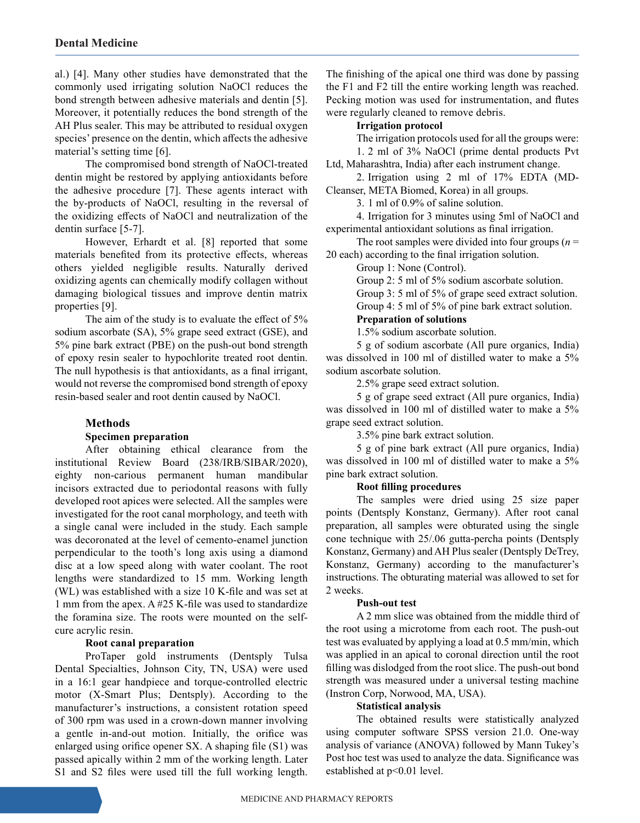al.) [4]. Many other studies have demonstrated that the commonly used irrigating solution NaOCl reduces the bond strength between adhesive materials and dentin [5]. Moreover, it potentially reduces the bond strength of the AH Plus sealer. This may be attributed to residual oxygen species' presence on the dentin, which affects the adhesive material's setting time [6].

The compromised bond strength of NaOCl-treated dentin might be restored by applying antioxidants before the adhesive procedure [7]. These agents interact with the by‑products of NaOCl, resulting in the reversal of the oxidizing effects of NaOCl and neutralization of the dentin surface [5-7].

However, Erhardt et al. [8] reported that some materials benefited from its protective effects, whereas others yielded negligible results. Naturally derived oxidizing agents can chemically modify collagen without damaging biological tissues and improve dentin matrix properties [9].

The aim of the study is to evaluate the effect of 5% sodium ascorbate (SA), 5% grape seed extract (GSE), and 5% pine bark extract (PBE) on the push-out bond strength of epoxy resin sealer to hypochlorite treated root dentin. The null hypothesis is that antioxidants, as a final irrigant, would not reverse the compromised bond strength of epoxy resin-based sealer and root dentin caused by NaOCl.

## **Methods**

#### **Specimen preparation**

After obtaining ethical clearance from the institutional Review Board (238/IRB/SIBAR/2020), eighty non-carious permanent human mandibular incisors extracted due to periodontal reasons with fully developed root apices were selected. All the samples were investigated for the root canal morphology, and teeth with a single canal were included in the study. Each sample was decoronated at the level of cemento-enamel junction perpendicular to the tooth's long axis using a diamond disc at a low speed along with water coolant. The root lengths were standardized to 15 mm. Working length (WL) was established with a size 10 K-file and was set at 1 mm from the apex. A #25 K-file was used to standardize the foramina size. The roots were mounted on the selfcure acrylic resin.

#### **Root canal preparation**

ProTaper gold instruments (Dentsply Tulsa Dental Specialties, Johnson City, TN, USA) were used in a 16:1 gear handpiece and torque-controlled electric motor (X‑Smart Plus; Dentsply). According to the manufacturer's instructions, a consistent rotation speed of 300 rpm was used in a crown‑down manner involving a gentle in‑and‑out motion. Initially, the orifice was enlarged using orifice opener SX. A shaping file (S1) was passed apically within 2 mm of the working length. Later S1 and S2 files were used till the full working length.

The finishing of the apical one third was done by passing the F1 and F2 till the entire working length was reached. Pecking motion was used for instrumentation, and flutes were regularly cleaned to remove debris.

#### **Irrigation protocol**

The irrigation protocols used for all the groups were: 1. 2 ml of 3% NaOCl (prime dental products Pvt

Ltd, Maharashtra, India) after each instrument change.

2. Irrigation using 2 ml of 17% EDTA (MD-Cleanser, META Biomed, Korea) in all groups.

3. 1 ml of 0.9% of saline solution.

4. Irrigation for 3 minutes using 5ml of NaOCl and experimental antioxidant solutions as final irrigation.

The root samples were divided into four groups  $(n =$ 20 each) according to the final irrigation solution.

Group 1: None (Control).

Group 2: 5 ml of 5% sodium ascorbate solution.

Group 3: 5 ml of 5% of grape seed extract solution.

Group 4: 5 ml of 5% of pine bark extract solution.

## **Preparation of solutions**

1.5% sodium ascorbate solution.

5 g of sodium ascorbate (All pure organics, India) was dissolved in 100 ml of distilled water to make a 5% sodium ascorbate solution.

2.5% grape seed extract solution.

5 g of grape seed extract (All pure organics, India) was dissolved in 100 ml of distilled water to make a 5% grape seed extract solution.

3.5% pine bark extract solution.

5 g of pine bark extract (All pure organics, India) was dissolved in 100 ml of distilled water to make a 5% pine bark extract solution.

#### **Root filling procedures**

The samples were dried using 25 size paper points (Dentsply Konstanz, Germany). After root canal preparation, all samples were obturated using the single cone technique with 25/.06 gutta-percha points (Dentsply Konstanz, Germany) and AH Plus sealer (Dentsply DeTrey, Konstanz, Germany) according to the manufacturer's instructions. The obturating material was allowed to set for 2 weeks.

#### **Push-out test**

A 2 mm slice was obtained from the middle third of the root using a microtome from each root. The push-out test was evaluated by applying a load at 0.5 mm/min, which was applied in an apical to coronal direction until the root filling was dislodged from the root slice. The push-out bond strength was measured under a universal testing machine (Instron Corp, Norwood, MA, USA).

#### **Statistical analysis**

The obtained results were statistically analyzed using computer software SPSS version 21.0. One-way analysis of variance (ANOVA) followed by Mann Tukey's Post hoc test was used to analyze the data. Significance was established at p<0.01 level.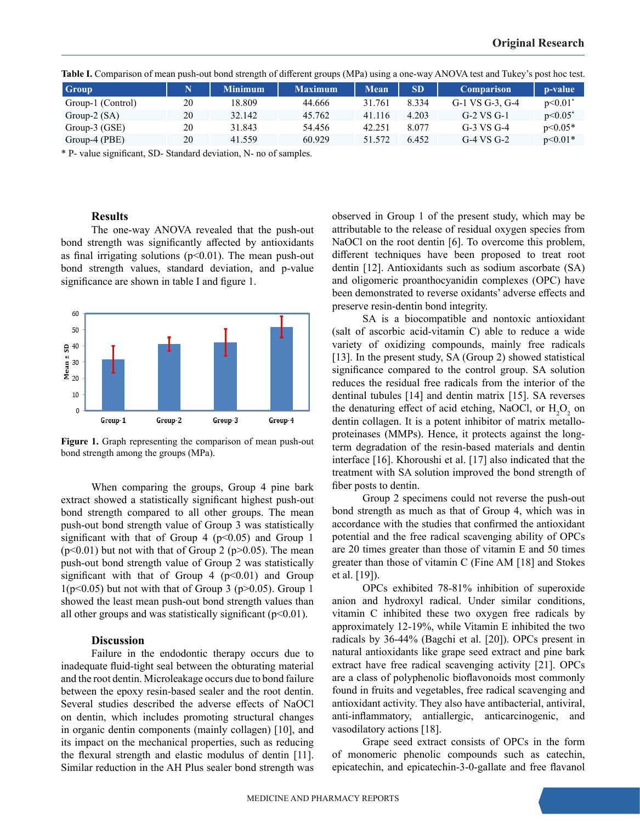| <b>Group</b>      |    | Minimum <sup>1</sup> | <b>Maximum</b> | Mean   | <b>SD</b> | <b>Comparison</b> | p-value    |
|-------------------|----|----------------------|----------------|--------|-----------|-------------------|------------|
| Group-1 (Control) | 20 | 18.809               | 44.666         | 31.761 | 8.334     | G-1 VS G-3, G-4   | p<0.01     |
| Group- $2(SA)$    | 20 | 32.142               | 45.762         | 41.116 | 4.203     | G-2 VS G-1        | $p<0.05^*$ |
| $Group-3(GSE)$    | 20 | 31.843               | 54.456         | 42.251 | 8.077     | G-3 VS G-4        | $p<0.05*$  |
| Group-4 (PBE)     | 20 | 41.559               | 60.929         | 51.572 | 6.452     | $G-4$ VS $G-2$    | $p<0.01*$  |

**Table I.** Comparison of mean push-out bond strength of different groups (MPa) using a one-way ANOVA test and Tukey's post hoc test.

\* P- value significant, SD- Standard deviation, N- no of samples.

## **Results**

The one-way ANOVA revealed that the push-out bond strength was significantly affected by antioxidants as final irrigating solutions ( $p$ <0.01). The mean push-out bond strength values, standard deviation, and p-value significance are shown in table I and figure 1.



Figure 1. Graph representing the comparison of mean push-out bond strength among the groups (MPa).

When comparing the groups, Group 4 pine bark extract showed a statistically significant highest push-out bond strength compared to all other groups. The mean push-out bond strength value of Group 3 was statistically significant with that of Group 4 ( $p$ <0.05) and Group 1  $(p<0.01)$  but not with that of Group 2 (p $>0.05$ ). The mean push-out bond strength value of Group 2 was statistically significant with that of Group  $4$  ( $p<0.01$ ) and Group  $1(p<0.05)$  but not with that of Group 3 (p $>0.05$ ). Group 1 showed the least mean push-out bond strength values than all other groups and was statistically significant  $(p<0.01)$ .

### **Discussion**

Failure in the endodontic therapy occurs due to inadequate fluid-tight seal between the obturating material and the root dentin. Microleakage occurs due to bond failure between the epoxy resin-based sealer and the root dentin. Several studies described the adverse effects of NaOCl on dentin, which includes promoting structural changes in organic dentin components (mainly collagen) [10], and its impact on the mechanical properties, such as reducing the flexural strength and elastic modulus of dentin [11]. Similar reduction in the AH Plus sealer bond strength was

observed in Group 1 of the present study, which may be attributable to the release of residual oxygen species from NaOCl on the root dentin [6]. To overcome this problem, different techniques have been proposed to treat root dentin [12]. Antioxidants such as sodium ascorbate (SA) and oligomeric proanthocyanidin complexes (OPC) have been demonstrated to reverse oxidants' adverse effects and preserve resin-dentin bond integrity.

SA is a biocompatible and nontoxic antioxidant (salt of ascorbic acid-vitamin C) able to reduce a wide variety of oxidizing compounds, mainly free radicals [13]. In the present study, SA (Group 2) showed statistical significance compared to the control group. SA solution reduces the residual free radicals from the interior of the dentinal tubules [14] and dentin matrix [15]. SA reverses the denaturing effect of acid etching, NaOCl, or  $H_2O_2$  on dentin collagen. It is a potent inhibitor of matrix metalloproteinases (MMPs). Hence, it protects against the longterm degradation of the resin-based materials and dentin interface [16]. Khoroushi et al. [17] also indicated that the treatment with SA solution improved the bond strength of fiber posts to dentin.

Group 2 specimens could not reverse the push-out bond strength as much as that of Group 4, which was in accordance with the studies that confirmed the antioxidant potential and the free radical scavenging ability of OPCs are 20 times greater than those of vitamin E and 50 times greater than those of vitamin C (Fine AM [18] and Stokes et al. [19]).

OPCs exhibited 78-81% inhibition of superoxide anion and hydroxyl radical. Under similar conditions, vitamin C inhibited these two oxygen free radicals by approximately 12-19%, while Vitamin E inhibited the two radicals by 36-44% (Bagchi et al. [20]). OPCs present in natural antioxidants like grape seed extract and pine bark extract have free radical scavenging activity [21]. OPCs are a class of polyphenolic bioflavonoids most commonly found in fruits and vegetables, free radical scavenging and antioxidant activity. They also have antibacterial, antiviral, anti-inflammatory, antiallergic, anticarcinogenic, and vasodilatory actions [18].

Grape seed extract consists of OPCs in the form of monomeric phenolic compounds such as catechin, epicatechin, and epicatechin-3-0-gallate and free flavanol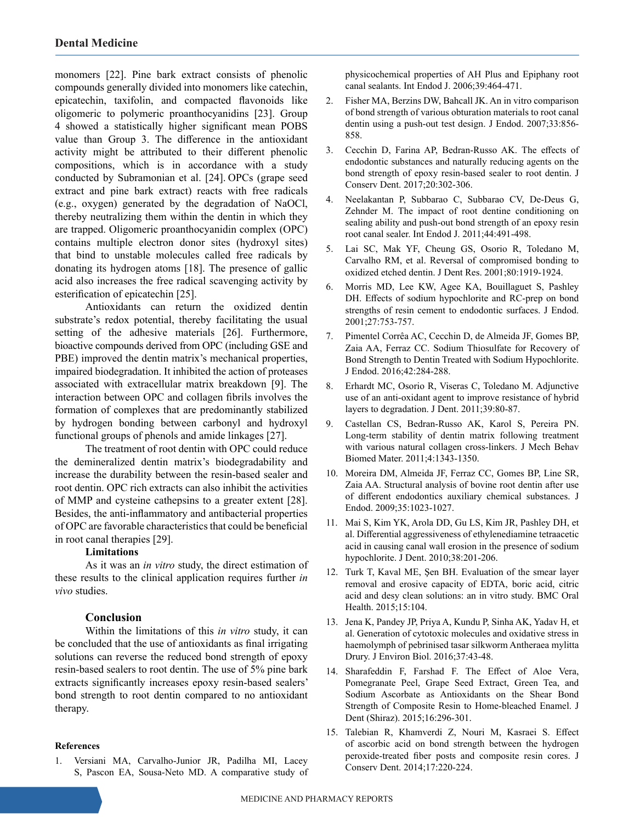monomers [22]. Pine bark extract consists of phenolic compounds generally divided into monomers like catechin, epicatechin, taxifolin, and compacted flavonoids like oligomeric to polymeric proanthocyanidins [23]. Group 4 showed a statistically higher significant mean POBS value than Group 3. The difference in the antioxidant activity might be attributed to their different phenolic compositions, which is in accordance with a study conducted by Subramonian et al. [24]. OPCs (grape seed extract and pine bark extract) reacts with free radicals (e.g., oxygen) generated by the degradation of NaOCl, thereby neutralizing them within the dentin in which they are trapped. Oligomeric proanthocyanidin complex (OPC) contains multiple electron donor sites (hydroxyl sites) that bind to unstable molecules called free radicals by donating its hydrogen atoms [18]. The presence of gallic acid also increases the free radical scavenging activity by esterification of epicatechin [25].

Antioxidants can return the oxidized dentin substrate's redox potential, thereby facilitating the usual setting of the adhesive materials [26]. Furthermore, bioactive compounds derived from OPC (including GSE and PBE) improved the dentin matrix's mechanical properties, impaired biodegradation. It inhibited the action of proteases associated with extracellular matrix breakdown [9]. The interaction between OPC and collagen fibrils involves the formation of complexes that are predominantly stabilized by hydrogen bonding between carbonyl and hydroxyl functional groups of phenols and amide linkages [27].

The treatment of root dentin with OPC could reduce the demineralized dentin matrix's biodegradability and increase the durability between the resin‑based sealer and root dentin. OPC rich extracts can also inhibit the activities of MMP and cysteine cathepsins to a greater extent [28]. Besides, the anti-inflammatory and antibacterial properties of OPC are favorable characteristics that could be beneficial in root canal therapies [29].

#### **Limitations**

As it was an *in vitro* study, the direct estimation of these results to the clinical application requires further *in vivo* studies.

## **Conclusion**

Within the limitations of this *in vitro* study, it can be concluded that the use of antioxidants as final irrigating solutions can reverse the reduced bond strength of epoxy resin-based sealers to root dentin. The use of 5% pine bark extracts significantly increases epoxy resin-based sealers' bond strength to root dentin compared to no antioxidant therapy.

#### **References**

1. Versiani MA, Carvalho-Junior JR, Padilha MI, Lacey S, Pascon EA, Sousa-Neto MD. A comparative study of

physicochemical properties of AH Plus and Epiphany root canal sealants. Int Endod J. 2006;39:464-471.

- 2. Fisher MA, Berzins DW, Bahcall JK. An in vitro comparison of bond strength of various obturation materials to root canal dentin using a push-out test design. J Endod. 2007;33:856- 858.
- 3. Cecchin D, Farina AP, Bedran-Russo AK. The effects of endodontic substances and naturally reducing agents on the bond strength of epoxy resin-based sealer to root dentin. J Conserv Dent. 2017;20:302-306.
- 4. Neelakantan P, Subbarao C, Subbarao CV, De-Deus G, Zehnder M. The impact of root dentine conditioning on sealing ability and push-out bond strength of an epoxy resin root canal sealer. Int Endod J. 2011;44:491-498.
- 5. Lai SC, Mak YF, Cheung GS, Osorio R, Toledano M, Carvalho RM, et al. Reversal of compromised bonding to oxidized etched dentin. J Dent Res. 2001;80:1919-1924.
- 6. Morris MD, Lee KW, Agee KA, Bouillaguet S, Pashley DH. Effects of sodium hypochlorite and RC-prep on bond strengths of resin cement to endodontic surfaces. J Endod. 2001;27:753-757.
- 7. Pimentel Corrêa AC, Cecchin D, de Almeida JF, Gomes BP, Zaia AA, Ferraz CC. Sodium Thiosulfate for Recovery of Bond Strength to Dentin Treated with Sodium Hypochlorite. J Endod. 2016;42:284-288.
- 8. Erhardt MC, Osorio R, Viseras C, Toledano M. Adjunctive use of an anti‑oxidant agent to improve resistance of hybrid layers to degradation. J Dent. 2011;39:80-87.
- 9. Castellan CS, Bedran-Russo AK, Karol S, Pereira PN. Long-term stability of dentin matrix following treatment with various natural collagen cross-linkers. J Mech Behav Biomed Mater. 2011;4:1343-1350.
- 10. Moreira DM, Almeida JF, Ferraz CC, Gomes BP, Line SR, Zaia AA. Structural analysis of bovine root dentin after use of different endodontics auxiliary chemical substances. J Endod. 2009;35:1023-1027.
- 11. Mai S, Kim YK, Arola DD, Gu LS, Kim JR, Pashley DH, et al. Differential aggressiveness of ethylenediamine tetraacetic acid in causing canal wall erosion in the presence of sodium hypochlorite. J Dent. 2010;38:201-206.
- 12. Turk T, Kaval ME, Şen BH. Evaluation of the smear layer removal and erosive capacity of EDTA, boric acid, citric acid and desy clean solutions: an in vitro study. BMC Oral Health. 2015;15:104.
- 13. Jena K, Pandey JP, Priya A, Kundu P, Sinha AK, Yadav H, et al. Generation of cytotoxic molecules and oxidative stress in haemolymph of pebrinised tasar silkworm Antheraea mylitta Drury. J Environ Biol. 2016;37:43-48.
- 14. Sharafeddin F, Farshad F. The Effect of Aloe Vera, Pomegranate Peel, Grape Seed Extract, Green Tea, and Sodium Ascorbate as Antioxidants on the Shear Bond Strength of Composite Resin to Home-bleached Enamel. J Dent (Shiraz). 2015;16:296-301.
- 15. Talebian R, Khamverdi Z, Nouri M, Kasraei S. Effect of ascorbic acid on bond strength between the hydrogen peroxide-treated fiber posts and composite resin cores. J Conserv Dent. 2014;17:220-224.